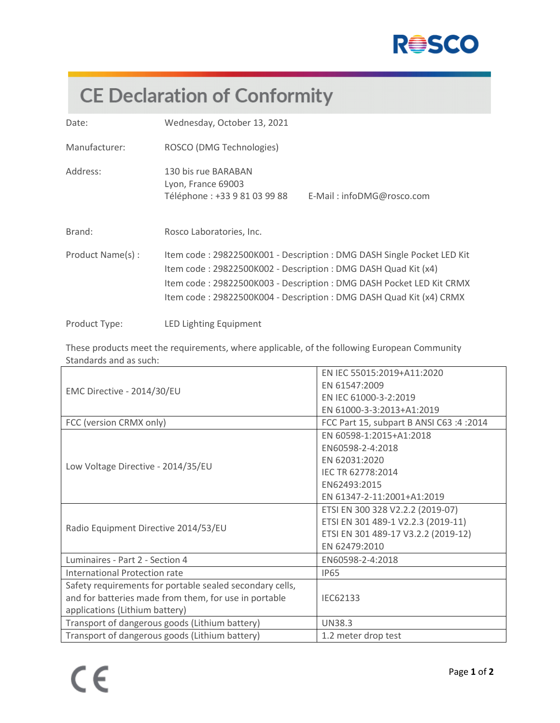

## **CE Declaration of Conformity**

| Date:            | Wednesday, October 13, 2021                                                                                                                                                                                                                                                         |  |
|------------------|-------------------------------------------------------------------------------------------------------------------------------------------------------------------------------------------------------------------------------------------------------------------------------------|--|
| Manufacturer:    | ROSCO (DMG Technologies)                                                                                                                                                                                                                                                            |  |
| Address:         | 130 bis rue BARABAN<br>Lyon, France 69003<br>Téléphone : +33 9 81 03 99 88<br>E-Mail: infoDMG@rosco.com                                                                                                                                                                             |  |
| Brand:           | Rosco Laboratories, Inc.                                                                                                                                                                                                                                                            |  |
| Product Name(s): | Item code: 29822500K001 - Description: DMG DASH Single Pocket LED Kit<br>Item code: 29822500K002 - Description: DMG DASH Quad Kit (x4)<br>Item code: 29822500K003 - Description: DMG DASH Pocket LED Kit CRMX<br>Item code: 29822500K004 - Description: DMG DASH Quad Kit (x4) CRMX |  |
| Product Type:    | LED Lighting Equipment                                                                                                                                                                                                                                                              |  |

These products meet the requirements, where applicable, of the following European Community Standards and as such:

|                                                          | EN IEC 55015:2019+A11:2020               |
|----------------------------------------------------------|------------------------------------------|
|                                                          | EN 61547:2009                            |
| EMC Directive - 2014/30/EU                               | EN IEC 61000-3-2:2019                    |
|                                                          | EN 61000-3-3:2013+A1:2019                |
| FCC (version CRMX only)                                  | FCC Part 15, subpart B ANSI C63 :4 :2014 |
|                                                          | EN 60598-1:2015+A1:2018                  |
|                                                          | EN60598-2-4:2018                         |
|                                                          | EN 62031:2020                            |
| Low Voltage Directive - 2014/35/EU                       | IEC TR 62778:2014                        |
|                                                          | EN62493:2015                             |
|                                                          | EN 61347-2-11:2001+A1:2019               |
|                                                          | ETSI EN 300 328 V2.2.2 (2019-07)         |
| Radio Equipment Directive 2014/53/EU                     | ETSI EN 301 489-1 V2.2.3 (2019-11)       |
|                                                          | ETSI EN 301 489-17 V3.2.2 (2019-12)      |
|                                                          | EN 62479:2010                            |
| Luminaires - Part 2 - Section 4                          | EN60598-2-4:2018                         |
| International Protection rate                            | <b>IP65</b>                              |
| Safety requirements for portable sealed secondary cells, |                                          |
| and for batteries made from them, for use in portable    | IEC62133                                 |
| applications (Lithium battery)                           |                                          |
| Transport of dangerous goods (Lithium battery)           | <b>UN38.3</b>                            |
| Transport of dangerous goods (Lithium battery)           | 1.2 meter drop test                      |